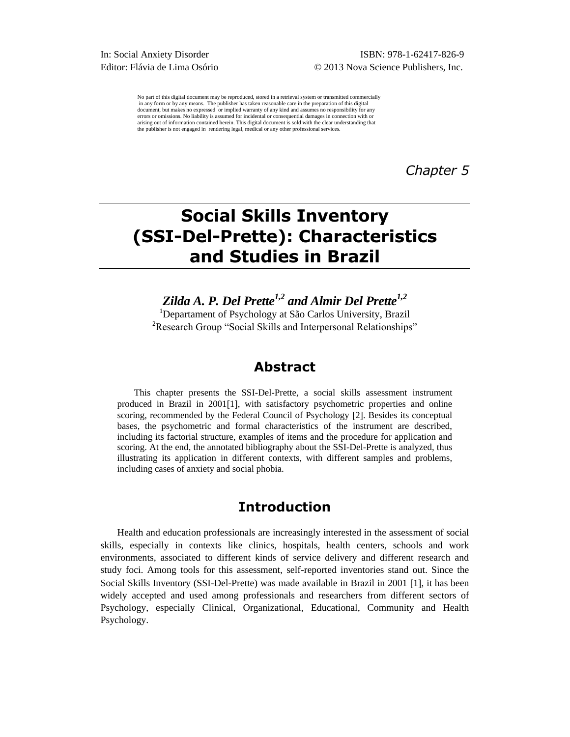No part of this digital document may be reproduced, stored in a retrieval system or transmitted commercially in any form or by any means. The publisher has taken reasonable care in the preparation of this digital document, but makes no expressed or implied warranty of any kind and assumes no responsibility for any errors or omissions. No liability is assumed for incidental or consequential damages in connection with or arising out of information contained herein. This digital document is sold with the clear understanding that the publisher is not engaged in rendering legal, medical or any other professional services.

*Chapter 5* 

# **Social Skills Inventory (SSI-Del-Prette): Characteristics and Studies in Brazil**

*Zilda A. P. Del Prette1,2 and Almir Del Prette1,2* <sup>1</sup>Departament of Psychology at São Carlos University, Brazil <sup>2</sup>Research Group "Social Skills and Interpersonal Relationships"

## **Abstract**

This chapter presents the SSI-Del-Prette, a social skills assessment instrument produced in Brazil in  $2001[1]$ , with satisfactory psychometric properties and online scoring, recommended by the Federal Council of Psychology [2]. Besides its conceptual bases, the psychometric and formal characteristics of the instrument are described, including its factorial structure, examples of items and the procedure for application and scoring. At the end, the annotated bibliography about the SSI-Del-Prette is analyzed, thus illustrating its application in different contexts, with different samples and problems, including cases of anxiety and social phobia.

# **Introduction**

Health and education professionals are increasingly interested in the assessment of social skills, especially in contexts like clinics, hospitals, health centers, schools and work environments, associated to different kinds of service delivery and different research and study foci. Among tools for this assessment, self-reported inventories stand out. Since the Social Skills Inventory (SSI-Del-Prette) was made available in Brazil in 2001 [1], it has been widely accepted and used among professionals and researchers from different sectors of Psychology, especially Clinical, Organizational, Educational, Community and Health Psychology.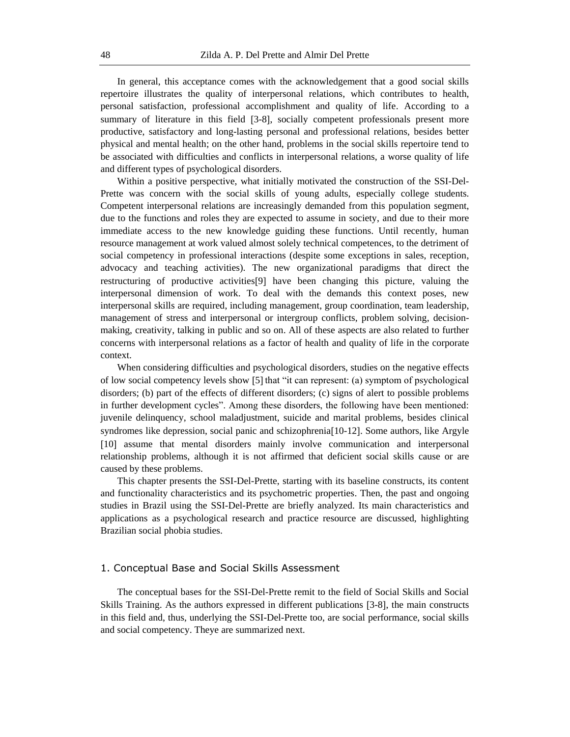In general, this acceptance comes with the acknowledgement that a good social skills repertoire illustrates the quality of interpersonal relations, which contributes to health, personal satisfaction, professional accomplishment and quality of life. According to a summary of literature in this field [3-8], socially competent professionals present more productive, satisfactory and long-lasting personal and professional relations, besides better physical and mental health; on the other hand, problems in the social skills repertoire tend to be associated with difficulties and conflicts in interpersonal relations, a worse quality of life and different types of psychological disorders.

Within a positive perspective, what initially motivated the construction of the SSI-Del-Prette was concern with the social skills of young adults, especially college students. Competent interpersonal relations are increasingly demanded from this population segment, due to the functions and roles they are expected to assume in society, and due to their more immediate access to the new knowledge guiding these functions. Until recently, human resource management at work valued almost solely technical competences, to the detriment of social competency in professional interactions (despite some exceptions in sales, reception, advocacy and teaching activities). The new organizational paradigms that direct the restructuring of productive activities[9] have been changing this picture, valuing the interpersonal dimension of work. To deal with the demands this context poses, new interpersonal skills are required, including management, group coordination, team leadership, management of stress and interpersonal or intergroup conflicts, problem solving, decisionmaking, creativity, talking in public and so on. All of these aspects are also related to further concerns with interpersonal relations as a factor of health and quality of life in the corporate context.

When considering difficulties and psychological disorders, studies on the negative effects of low social competency levels show [5] that "it can represent: (a) symptom of psychological disorders; (b) part of the effects of different disorders; (c) signs of alert to possible problems in further development cycles". Among these disorders, the following have been mentioned: juvenile delinquency, school maladjustment, suicide and marital problems, besides clinical syndromes like depression, social panic and schizophrenia<sup>[10-12]</sup>. Some authors, like Argyle 10 assume that mental disorders mainly involve communication and interpersonal relationship problems, although it is not affirmed that deficient social skills cause or are caused by these problems.

This chapter presents the SSI-Del-Prette, starting with its baseline constructs, its content and functionality characteristics and its psychometric properties. Then, the past and ongoing studies in Brazil using the SSI-Del-Prette are briefly analyzed. Its main characteristics and applications as a psychological research and practice resource are discussed, highlighting Brazilian social phobia studies.

#### 1. Conceptual Base and Social Skills Assessment

The conceptual bases for the SSI-Del-Prette remit to the field of Social Skills and Social Skills Training. As the authors expressed in different publications [3-8], the main constructs in this field and, thus, underlying the SSI-Del-Prette too, are social performance, social skills and social competency. Theye are summarized next.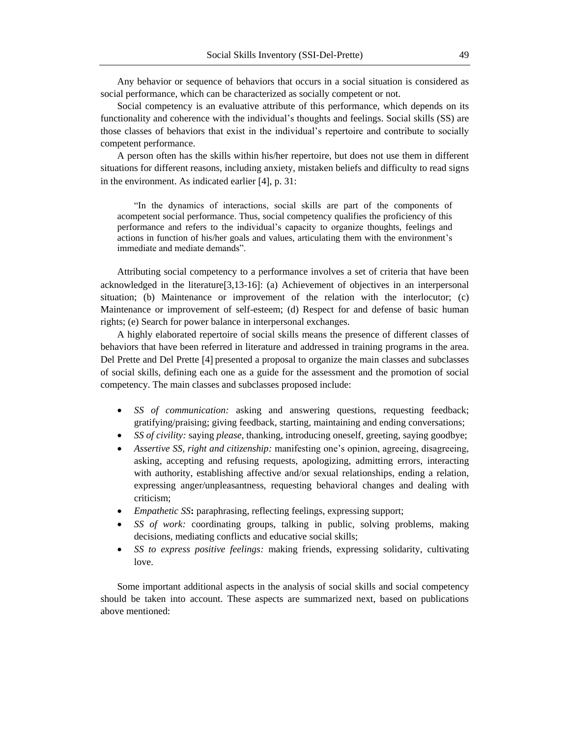Any behavior or sequence of behaviors that occurs in a social situation is considered as social performance, which can be characterized as socially competent or not.

Social competency is an evaluative attribute of this performance, which depends on its functionality and coherence with the individual's thoughts and feelings. Social skills (SS) are those classes of behaviors that exist in the individual's repertoire and contribute to socially competent performance.

A person often has the skills within his/her repertoire, but does not use them in different situations for different reasons, including anxiety, mistaken beliefs and difficulty to read signs in the environment. As indicated earlier  $[4]$ , p. 31:

"In the dynamics of interactions, social skills are part of the components of acompetent social performance. Thus, social competency qualifies the proficiency of this performance and refers to the individual's capacity to organize thoughts, feelings and actions in function of his/her goals and values, articulating them with the environment's immediate and mediate demands".

Attributing social competency to a performance involves a set of criteria that have been acknowledged in the literature $[3,13-16]$ : (a) Achievement of objectives in an interpersonal situation; (b) Maintenance or improvement of the relation with the interlocutor; (c) Maintenance or improvement of self-esteem; (d) Respect for and defense of basic human rights; (e) Search for power balance in interpersonal exchanges.

A highly elaborated repertoire of social skills means the presence of different classes of behaviors that have been referred in literature and addressed in training programs in the area. Del Prette and Del Prette [4] presented a proposal to organize the main classes and subclasses of social skills, defining each one as a guide for the assessment and the promotion of social competency. The main classes and subclasses proposed include:

- *SS of communication:* asking and answering questions, requesting feedback; gratifying/praising; giving feedback, starting, maintaining and ending conversations;
- *SS of civility:* saying *please,* thanking, introducing oneself, greeting, saying goodbye;
- *Assertive SS, right and citizenship:* manifesting one's opinion, agreeing, disagreeing, asking, accepting and refusing requests, apologizing, admitting errors, interacting with authority, establishing affective and/or sexual relationships, ending a relation, expressing anger/unpleasantness, requesting behavioral changes and dealing with criticism;
- *Empathetic SS***:** paraphrasing, reflecting feelings, expressing support;
- *SS of work:* coordinating groups, talking in public, solving problems, making decisions, mediating conflicts and educative social skills;
- *SS to express positive feelings:* making friends, expressing solidarity, cultivating love.

Some important additional aspects in the analysis of social skills and social competency should be taken into account. These aspects are summarized next, based on publications above mentioned: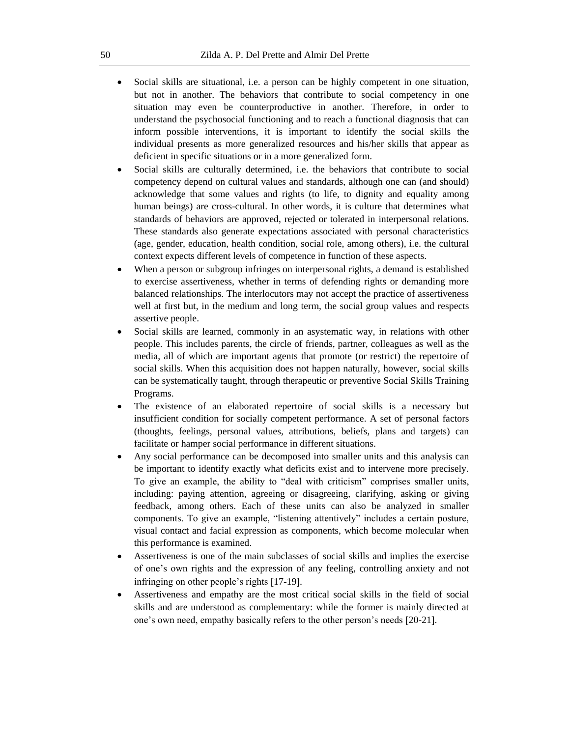- Social skills are situational, i.e. a person can be highly competent in one situation, but not in another. The behaviors that contribute to social competency in one situation may even be counterproductive in another. Therefore, in order to understand the psychosocial functioning and to reach a functional diagnosis that can inform possible interventions, it is important to identify the social skills the individual presents as more generalized resources and his/her skills that appear as deficient in specific situations or in a more generalized form.
- Social skills are culturally determined, i.e. the behaviors that contribute to social competency depend on cultural values and standards, although one can (and should) acknowledge that some values and rights (to life, to dignity and equality among human beings) are cross-cultural. In other words, it is culture that determines what standards of behaviors are approved, rejected or tolerated in interpersonal relations. These standards also generate expectations associated with personal characteristics (age, gender, education, health condition, social role, among others), i.e. the cultural context expects different levels of competence in function of these aspects.
- When a person or subgroup infringes on interpersonal rights, a demand is established to exercise assertiveness, whether in terms of defending rights or demanding more balanced relationships. The interlocutors may not accept the practice of assertiveness well at first but, in the medium and long term, the social group values and respects assertive people.
- Social skills are learned, commonly in an asystematic way, in relations with other people. This includes parents, the circle of friends, partner, colleagues as well as the media, all of which are important agents that promote (or restrict) the repertoire of social skills. When this acquisition does not happen naturally, however, social skills can be systematically taught, through therapeutic or preventive Social Skills Training Programs.
- The existence of an elaborated repertoire of social skills is a necessary but insufficient condition for socially competent performance. A set of personal factors (thoughts, feelings, personal values, attributions, beliefs, plans and targets) can facilitate or hamper social performance in different situations.
- Any social performance can be decomposed into smaller units and this analysis can be important to identify exactly what deficits exist and to intervene more precisely. To give an example, the ability to "deal with criticism" comprises smaller units, including: paying attention, agreeing or disagreeing, clarifying, asking or giving feedback, among others. Each of these units can also be analyzed in smaller components. To give an example, "listening attentively" includes a certain posture, visual contact and facial expression as components, which become molecular when this performance is examined.
- Assertiveness is one of the main subclasses of social skills and implies the exercise of one's own rights and the expression of any feeling, controlling anxiety and not infringing on other people's rights [17-19].
- Assertiveness and empathy are the most critical social skills in the field of social skills and are understood as complementary: while the former is mainly directed at one's own need, empathy basically refers to the other person's needs [20-21].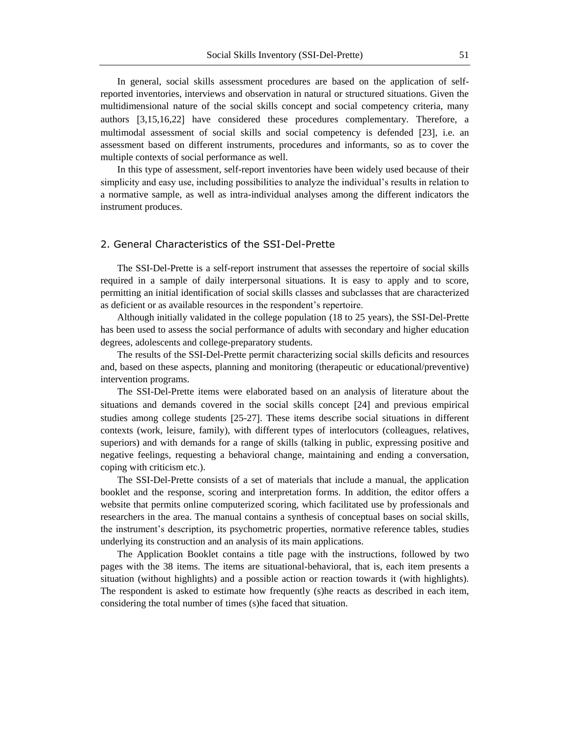In general, social skills assessment procedures are based on the application of selfreported inventories, interviews and observation in natural or structured situations. Given the multidimensional nature of the social skills concept and social competency criteria, many authors [3,15,16,22] have considered these procedures complementary. Therefore, a multimodal assessment of social skills and social competency is defended [23], i.e. an assessment based on different instruments, procedures and informants, so as to cover the multiple contexts of social performance as well.

In this type of assessment, self-report inventories have been widely used because of their simplicity and easy use, including possibilities to analyze the individual's results in relation to a normative sample, as well as intra-individual analyses among the different indicators the instrument produces.

#### 2. General Characteristics of the SSI-Del-Prette

The SSI-Del-Prette is a self-report instrument that assesses the repertoire of social skills required in a sample of daily interpersonal situations. It is easy to apply and to score, permitting an initial identification of social skills classes and subclasses that are characterized as deficient or as available resources in the respondent's repertoire.

Although initially validated in the college population (18 to 25 years), the SSI-Del-Prette has been used to assess the social performance of adults with secondary and higher education degrees, adolescents and college-preparatory students.

The results of the SSI-Del-Prette permit characterizing social skills deficits and resources and, based on these aspects, planning and monitoring (therapeutic or educational/preventive) intervention programs.

The SSI-Del-Prette items were elaborated based on an analysis of literature about the situations and demands covered in the social skills concept [24] and previous empirical studies among college students [25-27]. These items describe social situations in different contexts (work, leisure, family), with different types of interlocutors (colleagues, relatives, superiors) and with demands for a range of skills (talking in public, expressing positive and negative feelings, requesting a behavioral change, maintaining and ending a conversation, coping with criticism etc.).

The SSI-Del-Prette consists of a set of materials that include a manual, the application booklet and the response, scoring and interpretation forms. In addition, the editor offers a website that permits online computerized scoring, which facilitated use by professionals and researchers in the area. The manual contains a synthesis of conceptual bases on social skills, the instrument's description, its psychometric properties, normative reference tables, studies underlying its construction and an analysis of its main applications.

The Application Booklet contains a title page with the instructions, followed by two pages with the 38 items. The items are situational-behavioral, that is, each item presents a situation (without highlights) and a possible action or reaction towards it (with highlights). The respondent is asked to estimate how frequently (s)he reacts as described in each item, considering the total number of times (s)he faced that situation.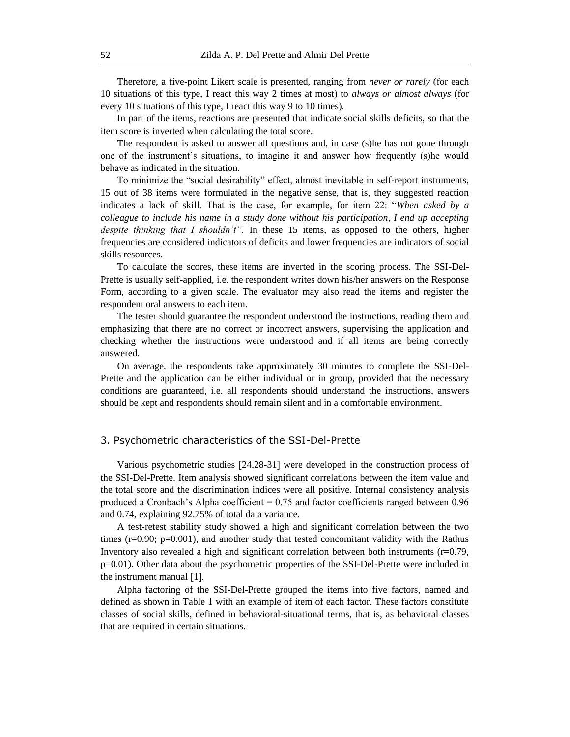Therefore, a five-point Likert scale is presented, ranging from *never or rarely* (for each 10 situations of this type, I react this way 2 times at most) to *always or almost always* (for every 10 situations of this type, I react this way 9 to 10 times).

In part of the items, reactions are presented that indicate social skills deficits, so that the item score is inverted when calculating the total score.

The respondent is asked to answer all questions and, in case (s)he has not gone through one of the instrument's situations, to imagine it and answer how frequently (s)he would behave as indicated in the situation.

To minimize the "social desirability" effect, almost inevitable in self-report instruments, 15 out of 38 items were formulated in the negative sense, that is, they suggested reaction indicates a lack of skill. That is the case, for example, for item 22: "*When asked by a colleague to include his name in a study done without his participation, I end up accepting despite thinking that I shouldn't".* In these 15 items, as opposed to the others, higher frequencies are considered indicators of deficits and lower frequencies are indicators of social skills resources.

To calculate the scores, these items are inverted in the scoring process. The SSI-Del-Prette is usually self-applied, i.e. the respondent writes down his/her answers on the Response Form, according to a given scale. The evaluator may also read the items and register the respondent oral answers to each item.

The tester should guarantee the respondent understood the instructions, reading them and emphasizing that there are no correct or incorrect answers, supervising the application and checking whether the instructions were understood and if all items are being correctly answered.

On average, the respondents take approximately 30 minutes to complete the SSI-Del-Prette and the application can be either individual or in group, provided that the necessary conditions are guaranteed, i.e. all respondents should understand the instructions, answers should be kept and respondents should remain silent and in a comfortable environment.

#### 3. Psychometric characteristics of the SSI-Del-Prette

Various psychometric studies 24,28-31 were developed in the construction process of the SSI-Del-Prette. Item analysis showed significant correlations between the item value and the total score and the discrimination indices were all positive. Internal consistency analysis produced a Cronbach's Alpha coefficient = 0.75 and factor coefficients ranged between 0.96 and 0.74, explaining 92.75% of total data variance.

A test-retest stability study showed a high and significant correlation between the two times  $(r=0.90; p=0.001)$ , and another study that tested concomitant validity with the Rathus Inventory also revealed a high and significant correlation between both instruments (r=0.79, p=0.01). Other data about the psychometric properties of the SSI-Del-Prette were included in the instrument manual [1].

Alpha factoring of the SSI-Del-Prette grouped the items into five factors, named and defined as shown in Table 1 with an example of item of each factor. These factors constitute classes of social skills, defined in behavioral-situational terms, that is, as behavioral classes that are required in certain situations.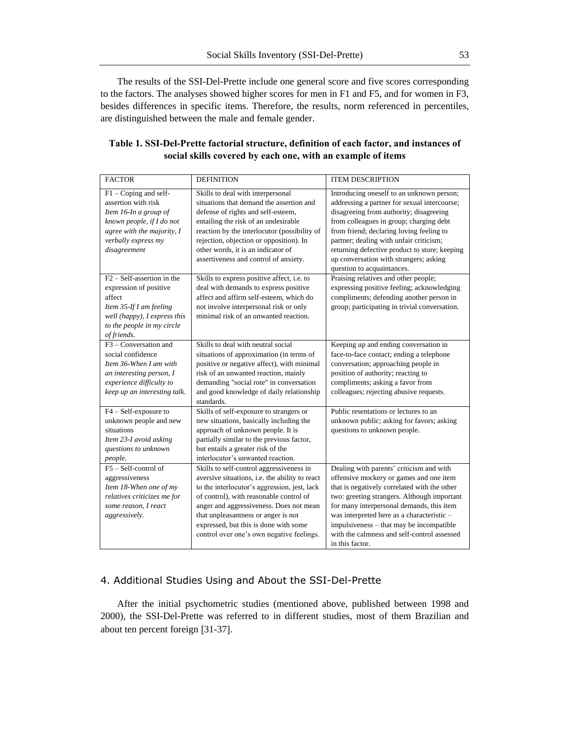The results of the SSI-Del-Prette include one general score and five scores corresponding to the factors. The analyses showed higher scores for men in F1 and F5, and for women in F3, besides differences in specific items. Therefore, the results, norm referenced in percentiles, are distinguished between the male and female gender.

| <b>FACTOR</b>                     | <b>DEFINITION</b>                              | <b>ITEM DESCRIPTION</b>                       |
|-----------------------------------|------------------------------------------------|-----------------------------------------------|
| $F1 - Coping$ and self-           | Skills to deal with interpersonal              | Introducing oneself to an unknown person;     |
| assertion with risk               | situations that demand the assertion and       | addressing a partner for sexual intercourse;  |
| Item 16-In a group of             | defense of rights and self-esteem,             | disagreeing from authority; disagreeing       |
| known people, if I do not         | entailing the risk of an undesirable           | from colleagues in group; charging debt       |
| agree with the majority, I        | reaction by the interlocutor (possibility of   | from friend; declaring loving feeling to      |
| verbally express my               | rejection, objection or opposition). In        | partner; dealing with unfair criticism;       |
| disagreement                      | other words, it is an indicator of             | returning defective product to store; keeping |
|                                   | assertiveness and control of anxiety.          | up conversation with strangers; asking        |
|                                   |                                                | question to acquaintances.                    |
| $F2 - Self-assertion$ in the      | Skills to express positive affect, i.e. to     | Praising relatives and other people;          |
| expression of positive            | deal with demands to express positive          | expressing positive feeling; acknowledging    |
| affect                            | affect and affirm self-esteem, which do        | compliments; defending another person in      |
| Item 35-If I am feeling           | not involve interpersonal risk or only         | group; participating in trivial conversation. |
| well (happy), I express this      | minimal risk of an unwanted reaction.          |                                               |
| to the people in my circle        |                                                |                                               |
| of friends.                       |                                                |                                               |
| F <sub>3</sub> – Conversation and | Skills to deal with neutral social             | Keeping up and ending conversation in         |
| social confidence                 | situations of approximation (in terms of       | face-to-face contact; ending a telephone      |
| Item 36-When I am with            | positive or negative affect), with minimal     | conversation; approaching people in           |
| an interesting person, I          | risk of an unwanted reaction, mainly           | position of authority; reacting to            |
| experience difficulty to          | demanding "social rote" in conversation        | compliments; asking a favor from              |
| keep up an interesting talk.      | and good knowledge of daily relationship       | colleagues; rejecting abusive requests.       |
|                                   | standards.                                     |                                               |
| F4 - Self-exposure to             | Skills of self-exposure to strangers or        | Public resentations or lectures to an         |
| unknown people and new            | new situations, basically including the        | unknown public; asking for favors; asking     |
| situations                        | approach of unknown people. It is              | questions to unknown people.                  |
| Item 23-I avoid asking            | partially similar to the previous factor,      |                                               |
| questions to unknown              | but entails a greater risk of the              |                                               |
| people.                           | interlocutor's unwanted reaction.              |                                               |
| $F5 - Self-control$               | Skills to self-control aggressiveness in       | Dealing with parents' criticism and with      |
| aggressiveness                    | aversive situations, i.e. the ability to react | offensive mockery or games and one item       |
| Item 18-When one of my            | to the interlocutor's aggression, jest, lack   | that is negatively correlated with the other  |
| relatives criticizes me for       | of control), with reasonable control of        | two: greeting strangers. Although important   |
| some reason, I react              | anger and aggressiveness. Does not mean        | for many interpersonal demands, this item     |
| aggressively.                     | that unpleasantness or anger is not            | was interpreted here as a characteristic -    |
|                                   | expressed, but this is done with some          | impulsiveness - that may be incompatible      |
|                                   | control over one's own negative feelings.      | with the calmness and self-control assessed   |
|                                   |                                                | in this factor.                               |

#### **Table 1. SSI-Del-Prette factorial structure, definition of each factor, and instances of social skills covered by each one, with an example of items**

### 4. Additional Studies Using and About the SSI-Del-Prette

After the initial psychometric studies (mentioned above, published between 1998 and 2000), the SSI-Del-Prette was referred to in different studies, most of them Brazilian and about ten percent foreign [31-37].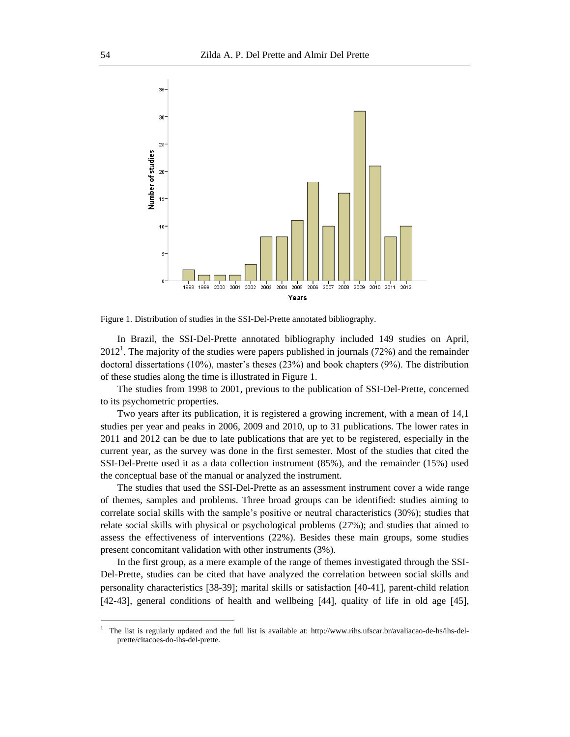

Figure 1. Distribution of studies in the SSI-Del-Prette annotated bibliography.

In Brazil, the SSI-Del-Prette annotated bibliography included 149 studies on April,  $2012<sup>1</sup>$ . The majority of the studies were papers published in journals (72%) and the remainder doctoral dissertations (10%), master's theses (23%) and book chapters (9%). The distribution of these studies along the time is illustrated in Figure 1.

The studies from 1998 to 2001, previous to the publication of SSI-Del-Prette, concerned to its psychometric properties.

Two years after its publication, it is registered a growing increment, with a mean of 14,1 studies per year and peaks in 2006, 2009 and 2010, up to 31 publications. The lower rates in 2011 and 2012 can be due to late publications that are yet to be registered, especially in the current year, as the survey was done in the first semester. Most of the studies that cited the SSI-Del-Prette used it as a data collection instrument (85%), and the remainder (15%) used the conceptual base of the manual or analyzed the instrument.

The studies that used the SSI-Del-Prette as an assessment instrument cover a wide range of themes, samples and problems. Three broad groups can be identified: studies aiming to correlate social skills with the sample's positive or neutral characteristics (30%); studies that relate social skills with physical or psychological problems (27%); and studies that aimed to assess the effectiveness of interventions (22%). Besides these main groups, some studies present concomitant validation with other instruments (3%).

In the first group, as a mere example of the range of themes investigated through the SSI-Del-Prette, studies can be cited that have analyzed the correlation between social skills and personality characteristics [38-39]; marital skills or satisfaction [40-41], parent-child relation [42-43], general conditions of health and wellbeing [44], quality of life in old age [45],

 $\overline{a}$ 

<sup>1</sup> The list is regularly updated and the full list is available at: http://www.rihs.ufscar.br/avaliacao-de-hs/ihs-delprette/citacoes-do-ihs-del-prette.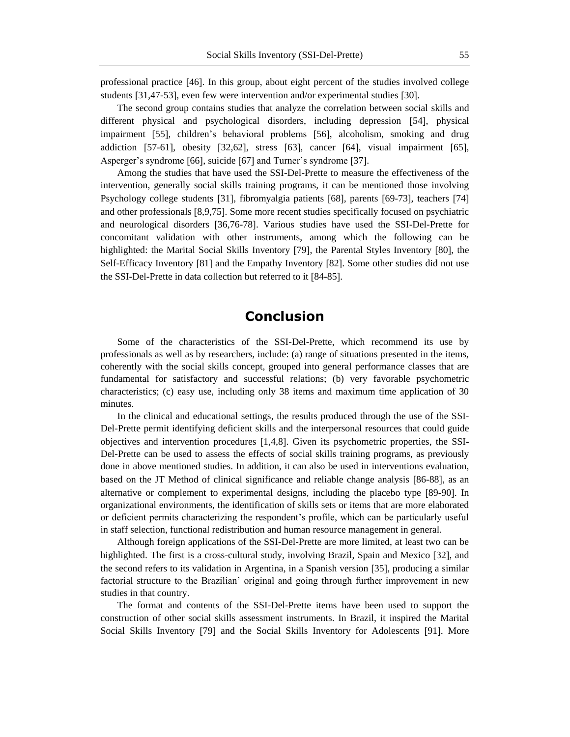professional practice 46. In this group, about eight percent of the studies involved college students [31,47-53], even few were intervention and/or experimental studies [30].

The second group contains studies that analyze the correlation between social skills and different physical and psychological disorders, including depression 54, physical impairment [55], children's behavioral problems [56], alcoholism, smoking and drug addiction  $[57-61]$ , obesity  $[32,62]$ , stress  $[63]$ , cancer  $[64]$ , visual impairment  $[65]$ , Asperger's syndrome [66], suicide [67] and Turner's syndrome [37].

Among the studies that have used the SSI-Del-Prette to measure the effectiveness of the intervention, generally social skills training programs, it can be mentioned those involving Psychology college students [31], fibromyalgia patients [68], parents [69-73], teachers [74] and other professionals [8,9,75]. Some more recent studies specifically focused on psychiatric and neurological disorders [36,76-78]. Various studies have used the SSI-Del-Prette for concomitant validation with other instruments, among which the following can be highlighted: the Marital Social Skills Inventory [79], the Parental Styles Inventory [80], the Self-Efficacy Inventory [81] and the Empathy Inventory [82]. Some other studies did not use the SSI-Del-Prette in data collection but referred to it [84-85].

# **Conclusion**

Some of the characteristics of the SSI-Del-Prette, which recommend its use by professionals as well as by researchers, include: (a) range of situations presented in the items, coherently with the social skills concept, grouped into general performance classes that are fundamental for satisfactory and successful relations; (b) very favorable psychometric characteristics; (c) easy use, including only 38 items and maximum time application of 30 minutes.

In the clinical and educational settings, the results produced through the use of the SSI-Del-Prette permit identifying deficient skills and the interpersonal resources that could guide objectives and intervention procedures 1,4,8. Given its psychometric properties, the SSI-Del-Prette can be used to assess the effects of social skills training programs, as previously done in above mentioned studies. In addition, it can also be used in interventions evaluation, based on the JT Method of clinical significance and reliable change analysis 86-88, as an alternative or complement to experimental designs, including the placebo type [89-90]. In organizational environments, the identification of skills sets or items that are more elaborated or deficient permits characterizing the respondent's profile, which can be particularly useful in staff selection, functional redistribution and human resource management in general.

Although foreign applications of the SSI-Del-Prette are more limited, at least two can be highlighted. The first is a cross-cultural study, involving Brazil, Spain and Mexico [32], and the second refers to its validation in Argentina, in a Spanish version [35], producing a similar factorial structure to the Brazilian' original and going through further improvement in new studies in that country.

The format and contents of the SSI-Del-Prette items have been used to support the construction of other social skills assessment instruments. In Brazil, it inspired the Marital Social Skills Inventory [79] and the Social Skills Inventory for Adolescents [91]. More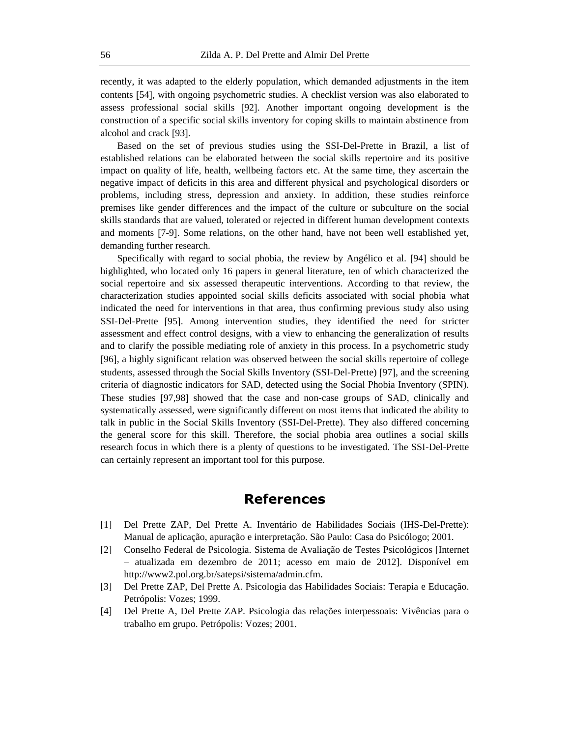recently, it was adapted to the elderly population, which demanded adjustments in the item contents 54, with ongoing psychometric studies. A checklist version was also elaborated to assess professional social skills 92. Another important ongoing development is the construction of a specific social skills inventory for coping skills to maintain abstinence from alcohol and crack [93].

Based on the set of previous studies using the SSI-Del-Prette in Brazil, a list of established relations can be elaborated between the social skills repertoire and its positive impact on quality of life, health, wellbeing factors etc. At the same time, they ascertain the negative impact of deficits in this area and different physical and psychological disorders or problems, including stress, depression and anxiety. In addition, these studies reinforce premises like gender differences and the impact of the culture or subculture on the social skills standards that are valued, tolerated or rejected in different human development contexts and moments 7-9. Some relations, on the other hand, have not been well established yet, demanding further research.

Specifically with regard to social phobia, the review by Angélico et al. [94] should be highlighted, who located only 16 papers in general literature, ten of which characterized the social repertoire and six assessed therapeutic interventions. According to that review, the characterization studies appointed social skills deficits associated with social phobia what indicated the need for interventions in that area, thus confirming previous study also using SSI-Del-Prette [95]. Among intervention studies, they identified the need for stricter assessment and effect control designs, with a view to enhancing the generalization of results and to clarify the possible mediating role of anxiety in this process. In a psychometric study 96, a highly significant relation was observed between the social skills repertoire of college students, assessed through the Social Skills Inventory (SSI-Del-Prette) [97], and the screening criteria of diagnostic indicators for SAD, detected using the Social Phobia Inventory (SPIN). These studies [97,98] showed that the case and non-case groups of SAD, clinically and systematically assessed, were significantly different on most items that indicated the ability to talk in public in the Social Skills Inventory (SSI-Del-Prette). They also differed concerning the general score for this skill. Therefore, the social phobia area outlines a social skills research focus in which there is a plenty of questions to be investigated. The SSI-Del-Prette can certainly represent an important tool for this purpose.

## **References**

- [1] Del Prette ZAP, Del Prette A. Inventário de Habilidades Sociais (IHS-Del-Prette): Manual de aplicação, apuração e interpretação. São Paulo: Casa do Psicólogo; 2001.
- [2] Conselho Federal de Psicologia. Sistema de Avaliação de Testes Psicológicos [Internet – atualizada em dezembro de 2011; acesso em maio de 2012]. Disponível em http://www2.pol.org.br/satepsi/sistema/admin.cfm.
- [3] Del Prette ZAP, Del Prette A. Psicologia das Habilidades Sociais: Terapia e Educação. Petrópolis: Vozes; 1999.
- [4] Del Prette A, Del Prette ZAP. Psicologia das relações interpessoais: Vivências para o trabalho em grupo. Petrópolis: Vozes; 2001.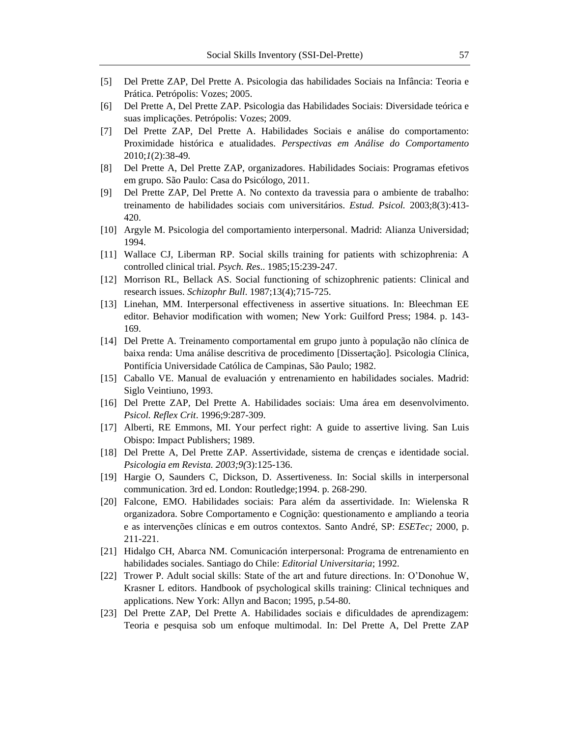- [5] Del Prette ZAP, Del Prette A. Psicologia das habilidades Sociais na Infância: Teoria e Prática. Petrópolis: Vozes; 2005.
- [6] Del Prette A, Del Prette ZAP. Psicologia das Habilidades Sociais: Diversidade teórica e suas implicações. Petrópolis: Vozes; 2009.
- [7] Del Prette ZAP, Del Prette A. Habilidades Sociais e análise do comportamento: Proximidade histórica e atualidades. *Perspectivas em Análise do Comportamento* 2010;*1*(2):38-49*.*
- [8] Del Prette A, Del Prette ZAP, organizadores. Habilidades Sociais: Programas efetivos em grupo. São Paulo: Casa do Psicólogo, 2011.
- [9] Del Prette ZAP, Del Prette A. No contexto da travessia para o ambiente de trabalho: treinamento de habilidades sociais com universitários. *Estud. Psicol.* 2003;8(3):413- 420.
- [10] Argyle M. Psicologia del comportamiento interpersonal. Madrid: Alianza Universidad; 1994.
- [11] Wallace CJ, Liberman RP. Social skills training for patients with schizophrenia: A controlled clinical trial. *Psych. Res*.. 1985;15:239-247.
- [12] Morrison RL, Bellack AS. Social functioning of schizophrenic patients: Clinical and research issues. *Schizophr Bull*. 1987;13(4);715-725.
- [13] Linehan, MM. Interpersonal effectiveness in assertive situations. In: Bleechman EE editor. Behavior modification with women; New York: Guilford Press; 1984. p. 143- 169.
- [14] Del Prette A. Treinamento comportamental em grupo junto à população não clínica de baixa renda: Uma análise descritiva de procedimento [Dissertação]. Psicologia Clínica, Pontifícia Universidade Católica de Campinas, São Paulo; 1982.
- [15] Caballo VE. Manual de evaluación y entrenamiento en habilidades sociales. Madrid: Siglo Veintiuno, 1993.
- [16] Del Prette ZAP, Del Prette A. Habilidades sociais: Uma área em desenvolvimento. *Psicol. Reflex Crit*. 1996;9:287-309.
- [17] Alberti, RE Emmons, MI. Your perfect right: A guide to assertive living. San Luis Obispo: Impact Publishers; 1989.
- [18] Del Prette A, Del Prette ZAP. Assertividade, sistema de crenças e identidade social. *Psicologia em Revista. 2003;9(*3):125-136.
- [19] Hargie O, Saunders C, Dickson, D. Assertiveness. In: Social skills in interpersonal communication. 3rd ed. London: Routledge;1994. p. 268-290.
- [20] Falcone, EMO. Habilidades sociais: Para além da assertividade. In: Wielenska R organizadora. Sobre Comportamento e Cognição: questionamento e ampliando a teoria e as intervenções clínicas e em outros contextos. Santo André, SP: *ESETec;* 2000, p. 211-221.
- [21] Hidalgo CH, Abarca NM. Comunicación interpersonal: Programa de entrenamiento en habilidades sociales. Santiago do Chile: *Editorial Universitaria*; 1992.
- [22] Trower P. Adult social skills: State of the art and future directions. In: O'Donohue W, Krasner L editors. Handbook of psychological skills training: Clinical techniques and applications. New York: Allyn and Bacon; 1995, p.54-80.
- [23] Del Prette ZAP, Del Prette A. Habilidades sociais e dificuldades de aprendizagem: Teoria e pesquisa sob um enfoque multimodal. In: Del Prette A, Del Prette ZAP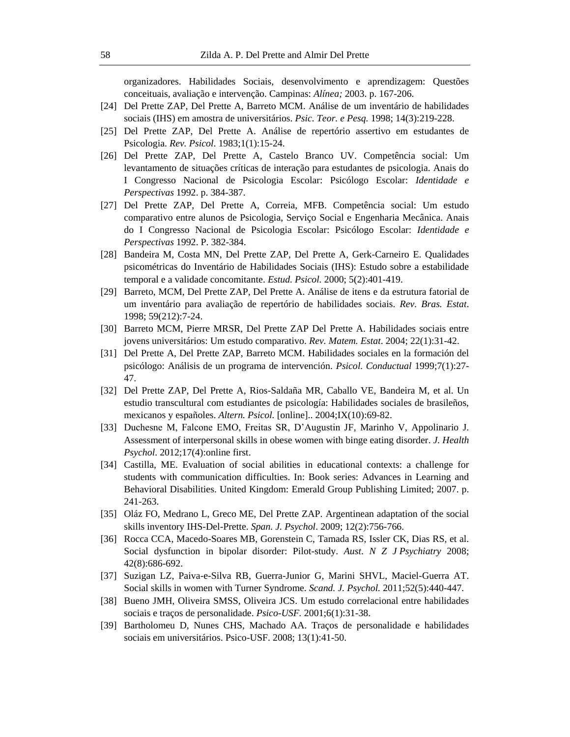organizadores. Habilidades Sociais, desenvolvimento e aprendizagem: Questões conceituais, avaliação e intervenção. Campinas: *Alínea;* 2003. p. 167-206.

- [24] Del Prette ZAP, Del Prette A, Barreto MCM. Análise de um inventário de habilidades sociais (IHS) em amostra de universitários. *Psic. Teor. e Pesq.* 1998; 14(3):219-228.
- [25] Del Prette ZAP, Del Prette A. Análise de repertório assertivo em estudantes de Psicologia. *Rev. Psicol*. 1983;1(1):15-24.
- [26] Del Prette ZAP, Del Prette A, Castelo Branco UV. Competência social: Um levantamento de situações críticas de interação para estudantes de psicologia. Anais do I Congresso Nacional de Psicologia Escolar: Psicólogo Escolar: *Identidade e Perspectivas* 1992. p. 384-387.
- [27] Del Prette ZAP, Del Prette A, Correia, MFB. Competência social: Um estudo comparativo entre alunos de Psicologia, Serviço Social e Engenharia Mecânica. Anais do I Congresso Nacional de Psicologia Escolar: Psicólogo Escolar: *Identidade e Perspectivas* 1992. P. 382-384.
- [28] Bandeira M, Costa MN, Del Prette ZAP, Del Prette A, Gerk-Carneiro E. Qualidades psicométricas do Inventário de Habilidades Sociais (IHS): Estudo sobre a estabilidade temporal e a validade concomitante. *Estud. Psicol.* 2000; 5(2):401-419.
- [29] Barreto, MCM, Del Prette ZAP, Del Prette A. Análise de itens e da estrutura fatorial de um inventário para avaliação de repertório de habilidades sociais. *Rev. Bras. Estat*. 1998; 59(212):7-24.
- [30] Barreto MCM, Pierre MRSR, Del Prette ZAP Del Prette A. Habilidades sociais entre jovens universitários: Um estudo comparativo. *Rev. Matem. Estat*. 2004; 22(1):31-42.
- [31] Del Prette A, Del Prette ZAP, Barreto MCM. Habilidades sociales en la formación del psicólogo: Análisis de un programa de intervención. *Psicol. Conductual* 1999;7(1):27- 47.
- [32] Del Prette ZAP, Del Prette A, Rios-Saldaña MR, Caballo VE, Bandeira M, et al. Un estudio transcultural com estudiantes de psicología: Habilidades sociales de brasileños, mexicanos y españoles. *Altern. Psicol.* [online].. 2004;IX(10):69-82.
- [33] Duchesne M, Falcone EMO, Freitas SR, D'Augustin JF, Marinho V, Appolinario J. Assessment of interpersonal skills in obese women with binge eating disorder. *J. Health Psychol*. 2012;17(4):online first.
- [34] Castilla, ME. Evaluation of social abilities in educational contexts: a challenge for students with communication difficulties. In: Book series: Advances in Learning and Behavioral Disabilities. United Kingdom: Emerald Group Publishing Limited; 2007. p. 241-263.
- [35] Oláz FO, Medrano L, Greco ME, Del Prette ZAP. Argentinean adaptation of the social skills inventory IHS-Del-Prette. *Span. J. Psychol*. 2009; 12(2):756-766.
- [36] Rocca CCA, Macedo-Soares MB, Gorenstein C, Tamada RS, Issler CK, Dias RS, et al. Social dysfunction in bipolar disorder: Pilot-study. *Aust*. *N Z J Psychiatry* 2008; 42(8):686-692.
- [37] Suzigan LZ, Paiva-e-Silva RB, Guerra-Junior G, Marini SHVL, Maciel-Guerra AT. Social skills in women with Turner Syndrome. *Scand. J. Psychol.* 2011;52(5):440-447.
- [38] Bueno JMH, Oliveira SMSS, Oliveira JCS. Um estudo correlacional entre habilidades sociais e traços de personalidade. *Psico-USF.* 2001;6(1):31-38.
- [39] Bartholomeu D, Nunes CHS, Machado AA. Traços de personalidade e habilidades sociais em universitários. Psico-USF. 2008; 13(1):41-50.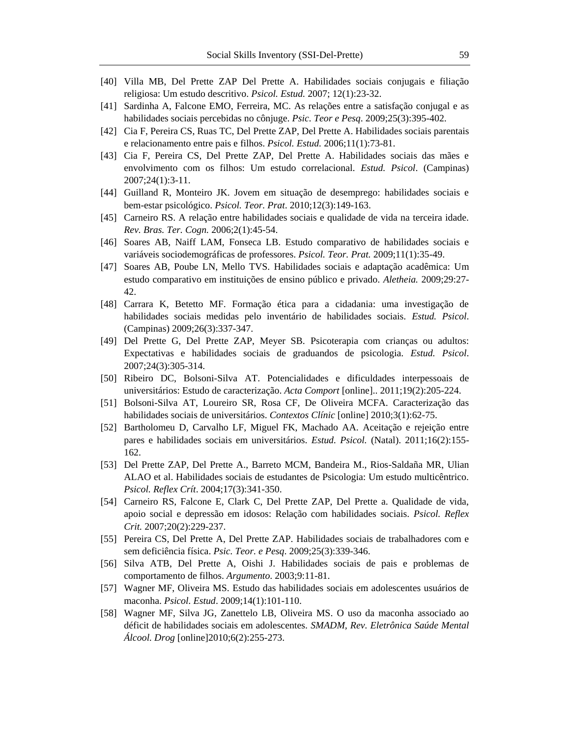- [40] Villa MB, Del Prette ZAP Del Prette A. Habilidades sociais conjugais e filiação religiosa: Um estudo descritivo. *Psicol. Estud.* 2007; 12(1):23-32.
- [41] Sardinha A, Falcone EMO, Ferreira, MC. As relações entre a satisfação conjugal e as habilidades sociais percebidas no cônjuge. *Psic. Teor e Pesq*. 2009;25(3):395-402.
- [42] Cia F, Pereira CS, Ruas TC, Del Prette ZAP, Del Prette A. Habilidades sociais parentais e relacionamento entre pais e filhos. *Psicol. Estud.* 2006;11(1):73-81.
- [43] Cia F, Pereira CS, Del Prette ZAP, Del Prette A. Habilidades sociais das mães e envolvimento com os filhos: Um estudo correlacional. *Estud. Psicol*. (Campinas) 2007;24(1):3-11.
- [44] Guilland R, Monteiro JK. Jovem em situação de desemprego: habilidades sociais e bem-estar psicológico. *Psicol. Teor. Prat*. 2010;12(3):149-163.
- [45] Carneiro RS. A relação entre habilidades sociais e qualidade de vida na terceira idade. *Rev. Bras. Ter. Cogn.* 2006;2(1):45-54.
- [46] Soares AB, Naiff LAM, Fonseca LB. Estudo comparativo de habilidades sociais e variáveis sociodemográficas de professores. *Psicol. Teor. Prat.* 2009;11(1):35-49.
- [47] Soares AB, Poube LN, Mello TVS. Habilidades sociais e adaptação acadêmica: Um estudo comparativo em instituições de ensino público e privado. *Aletheia.* 2009;29:27- 42.
- [48] Carrara K, Betetto MF. Formação ética para a cidadania: uma investigação de habilidades sociais medidas pelo inventário de habilidades sociais. *Estud. Psicol*. (Campinas) 2009;26(3):337-347.
- [49] Del Prette G, Del Prette ZAP, Meyer SB. Psicoterapia com crianças ou adultos: Expectativas e habilidades sociais de graduandos de psicologia. *Estud. Psicol*. 2007;24(3):305-314.
- [50] Ribeiro DC, Bolsoni-Silva AT. Potencialidades e dificuldades interpessoais de universitários: Estudo de caracterização. *Acta Comport* [online].. 2011;19(2):205-224.
- [51] Bolsoni-Silva AT, Loureiro SR, Rosa CF, De Oliveira MCFA. Caracterização das habilidades sociais de universitários. *Contextos Clínic* [online] 2010;3(1):62-75.
- [52] Bartholomeu D, Carvalho LF, Miguel FK, Machado AA. Aceitação e rejeição entre pares e habilidades sociais em universitários. *Estud. Psicol.* (Natal). 2011;16(2):155- 162.
- [53] Del Prette ZAP, Del Prette A., Barreto MCM, Bandeira M., Rios-Saldaña MR, Ulian ALAO et al. Habilidades sociais de estudantes de Psicologia: Um estudo multicêntrico. *Psicol. Reflex Crít*. 2004;17(3):341-350.
- [54] Carneiro RS, Falcone E, Clark C, Del Prette ZAP, Del Prette a. Qualidade de vida, apoio social e depressão em idosos: Relação com habilidades sociais. *Psicol. Reflex Crit.* 2007;20(2):229-237.
- [55] Pereira CS, Del Prette A, Del Prette ZAP. Habilidades sociais de trabalhadores com e sem deficiência física. *Psic. Teor. e Pesq*. 2009;25(3):339-346.
- [56] Silva ATB, Del Prette A, Oishi J. Habilidades sociais de pais e problemas de comportamento de filhos. *Argumento*. 2003;9:11-81.
- [57] Wagner MF, Oliveira MS. Estudo das habilidades sociais em adolescentes usuários de maconha. *Psicol. Estud*. 2009;14(1):101-110.
- [58] Wagner MF, Silva JG, Zanettelo LB, Oliveira MS. O uso da maconha associado ao déficit de habilidades sociais em adolescentes. *SMADM, Rev. Eletrônica Saúde Mental Álcool. Drog* [online]2010;6(2):255-273.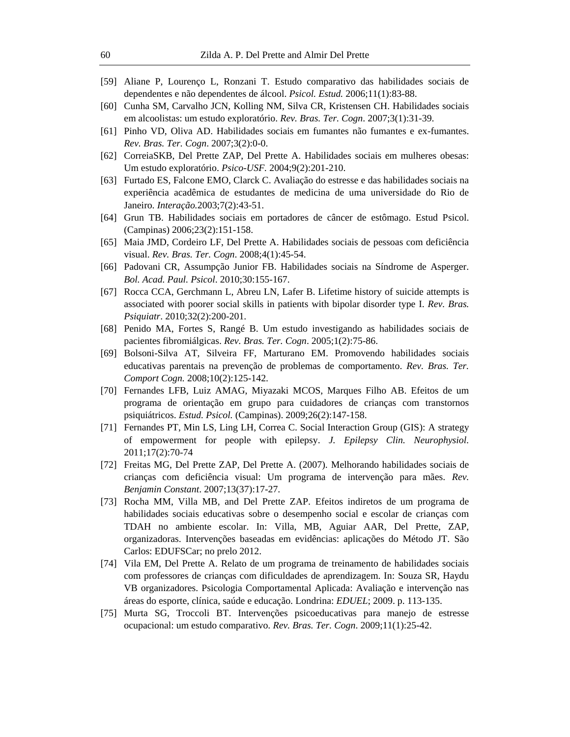- [59] Aliane P, Lourenço L, Ronzani T. Estudo comparativo das habilidades sociais de dependentes e não dependentes de álcool. *Psicol. Estud.* 2006;11(1):83-88.
- [60] Cunha SM, Carvalho JCN, Kolling NM, Silva CR, Kristensen CH. Habilidades sociais em alcoolistas: um estudo exploratório. *Rev. Bras. Ter. Cogn*. 2007;3(1):31-39.
- [61] Pinho VD, Oliva AD. Habilidades sociais em fumantes não fumantes e ex-fumantes. *Rev. Bras. Ter. Cogn*. 2007;3(2):0-0.
- [62] CorreiaSKB, Del Prette ZAP, Del Prette A. Habilidades sociais em mulheres obesas: Um estudo exploratório. *Psico-USF.* 2004;9(2):201-210.
- [63] Furtado ES, Falcone EMO, Clarck C. Avaliação do estresse e das habilidades sociais na experiência acadêmica de estudantes de medicina de uma universidade do Rio de Janeiro. *Interação.*2003;7(2):43-51.
- [64] Grun TB. Habilidades sociais em portadores de câncer de estômago. Estud Psicol. (Campinas) 2006;23(2):151-158.
- [65] Maia JMD, Cordeiro LF, Del Prette A. Habilidades sociais de pessoas com deficiência visual. *Rev. Bras. Ter. Cogn*. 2008;4(1):45-54.
- [66] Padovani CR, Assumpção Junior FB. Habilidades sociais na Síndrome de Asperger. *Bol. Acad. Paul. Psicol*. 2010;30:155-167.
- [67] Rocca CCA, Gerchmann L, Abreu LN, Lafer B. Lifetime history of suicide attempts is associated with poorer social skills in patients with bipolar disorder type I. *Rev. Bras. Psiquiatr*. 2010;32(2):200-201.
- [68] Penido MA, Fortes S, Rangé B. Um estudo investigando as habilidades sociais de pacientes fibromiálgicas. *Rev. Bras. Ter. Cogn*. 2005;1(2):75-86.
- [69] Bolsoni-Silva AT, Silveira FF, Marturano EM. Promovendo habilidades sociais educativas parentais na prevenção de problemas de comportamento. *Rev. Bras. Ter. Comport Cogn.* 2008;10(2):125-142.
- [70] Fernandes LFB, Luiz AMAG, Miyazaki MCOS, Marques Filho AB. Efeitos de um programa de orientação em grupo para cuidadores de crianças com transtornos psiquiátricos. *Estud. Psicol.* (Campinas). 2009;26(2):147-158.
- [71] Fernandes PT, Min LS, Ling LH, Correa C. Social Interaction Group (GIS): A strategy of empowerment for people with epilepsy. *J. Epilepsy Clin. Neurophysiol.* 2011;17(2):70-74
- [72] Freitas MG, Del Prette ZAP, Del Prette A. (2007). Melhorando habilidades sociais de crianças com deficiência visual: Um programa de intervenção para mães. *Rev. Benjamin Constant*. 2007;13(37):17-27.
- [73] Rocha MM, Villa MB, and Del Prette ZAP. Efeitos indiretos de um programa de habilidades sociais educativas sobre o desempenho social e escolar de crianças com TDAH no ambiente escolar. In: Villa, MB, Aguiar AAR, Del Prette, ZAP, organizadoras. Intervenções baseadas em evidências: aplicações do Método JT. São Carlos: EDUFSCar; no prelo 2012.
- [74] Vila EM, Del Prette A. Relato de um programa de treinamento de habilidades sociais com professores de crianças com dificuldades de aprendizagem. In: Souza SR, Haydu VB organizadores. Psicologia Comportamental Aplicada: Avaliação e intervenção nas áreas do esporte, clínica, saúde e educação. Londrina: *EDUEL*; 2009. p. 113-135.
- [75] Murta SG, Troccoli BT. Intervenções psicoeducativas para manejo de estresse ocupacional: um estudo comparativo. *Rev. Bras. Ter. Cogn*. 2009;11(1):25-42.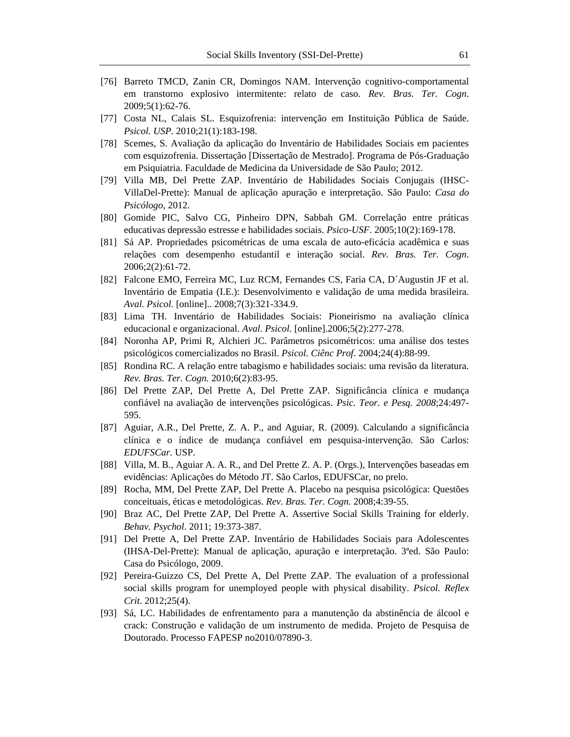- [76] Barreto TMCD, Zanin CR, Domingos NAM. Intervenção cognitivo-comportamental em transtorno explosivo intermitente: relato de caso. *Rev. Bras. Ter. Cogn*. 2009;5(1):62-76.
- [77] Costa NL, Calais SL. Esquizofrenia: intervenção em Instituição Pública de Saúde. *Psicol. USP.* 2010;21(1):183-198.
- [78] Scemes, S. Avaliação da aplicação do Inventário de Habilidades Sociais em pacientes com esquizofrenia. Dissertação [Dissertação de Mestrado]. Programa de Pós-Graduação em Psiquiatria. Faculdade de Medicina da Universidade de São Paulo; 2012.
- [79] Villa MB, Del Prette ZAP. Inventário de Habilidades Sociais Conjugais (IHSC-VillaDel-Prette): Manual de aplicação apuração e interpretação. São Paulo: *Casa do Psicólogo*, 2012.
- [80] Gomide PIC, Salvo CG, Pinheiro DPN, Sabbah GM. Correlação entre práticas educativas depressão estresse e habilidades sociais. *Psico-USF*. 2005;10(2):169-178.
- [81] Sá AP. Propriedades psicométricas de uma escala de auto-eficácia acadêmica e suas relações com desempenho estudantil e interação social. *Rev. Bras. Ter. Cogn*. 2006;2(2):61-72.
- [82] Falcone EMO, Ferreira MC, Luz RCM, Fernandes CS, Faria CA, D´Augustin JF et al. Inventário de Empatia (I.E.): Desenvolvimento e validação de uma medida brasileira. *Aval. Psicol.* [online].. 2008;7(3):321-334.9.
- [83] Lima TH. Inventário de Habilidades Sociais: Pioneirismo na avaliação clínica educacional e organizacional. *Aval. Psicol.* [online].2006;5(2):277-278.
- [84] Noronha AP, Primi R, Alchieri JC. Parâmetros psicométricos: uma análise dos testes psicológicos comercializados no Brasil. *Psicol. Ciênc Prof*. 2004;24(4):88-99.
- [85] Rondina RC. A relação entre tabagismo e habilidades sociais: uma revisão da literatura. *Rev. Bras. Ter. Cogn.* 2010;6(2):83-95.
- [86] Del Prette ZAP, Del Prette A, Del Prette ZAP. Significância clínica e mudança confiável na avaliação de intervenções psicológicas. *Psic. Teor. e Pesq. 2008*;24:497- 595.
- [87] Aguiar, A.R., Del Prette, Z. A. P., and Aguiar, R. (2009). Calculando a significância clínica e o índice de mudança confiável em pesquisa-intervenção. São Carlos: *EDUFSCar.* USP.
- [88] Villa, M. B., Aguiar A. A. R., and Del Prette Z. A. P. (Orgs.), Intervenções baseadas em evidências: Aplicações do Método JT. São Carlos, EDUFSCar, no prelo.
- [89] Rocha, MM, Del Prette ZAP, Del Prette A. Placebo na pesquisa psicológica: Questões conceituais, éticas e metodológicas. *Rev. Bras. Ter. Cogn.* 2008;4:39-55.
- [90] Braz AC, Del Prette ZAP, Del Prette A. Assertive Social Skills Training for elderly. *Behav. Psychol*. 2011; 19:373-387.
- [91] Del Prette A, Del Prette ZAP. Inventário de Habilidades Sociais para Adolescentes (IHSA-Del-Prette): Manual de aplicação, apuração e interpretação. 3ªed. São Paulo: Casa do Psicólogo, 2009.
- [92] Pereira-Guizzo CS, Del Prette A, Del Prette ZAP. The evaluation of a professional social skills program for unemployed people with physical disability. *Psicol. Reflex Crit*. 2012;25(4).
- [93] Sá, LC. Habilidades de enfrentamento para a manutenção da abstinência de álcool e crack: Construção e validação de um instrumento de medida. Projeto de Pesquisa de Doutorado. Processo FAPESP no2010/07890-3.